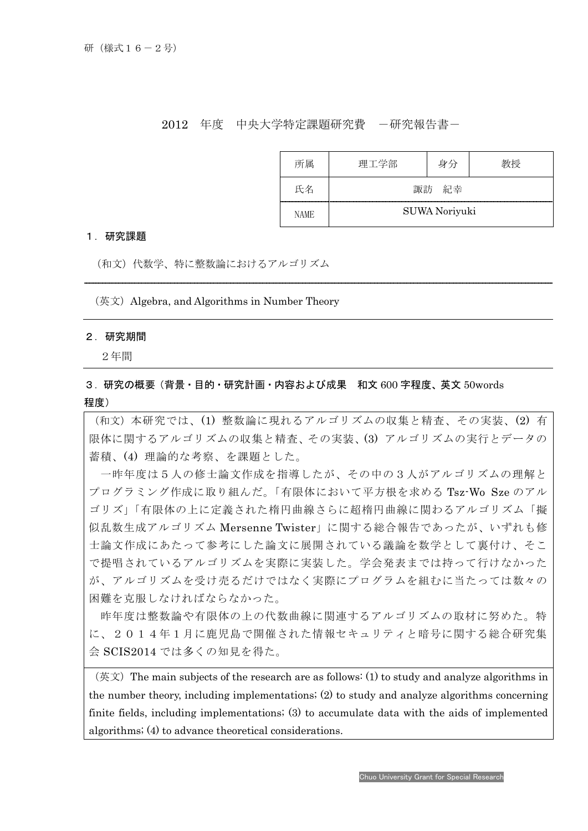## 2012 年度 中央大学特定課題研究費 一研究報告書ー

| 所属          | 理工学部          | 身分 |  |
|-------------|---------------|----|--|
| 氏名          | 諏訪 紀幸         |    |  |
| <b>NAME</b> | SUWA Noriyuki |    |  |

### 1.研究課題

(和文)代数学、特に整数論におけるアルゴリズム

 $($ 英 $)$  Algebra, and Algorithms in Number Theory

#### 2.研究期間

I

2年間

# 3.研究の概要(背景・目的・研究計画・内容および成果 和文 600 字程度、英文 50words 程度)

(和文)本研究では、(1) 整数論に現れるアルゴリズムの収集と精査、その実装、(2) 有 限体に関するアルゴリズムの収集と精査、その実装、(3) アルゴリズムの実行とデータの 蓄積、(4) 理論的な考察、を課題とした。

一昨年度は5人の修士論文作成を指導したが、その中の3人がアルゴリズムの理解と プログラミング作成に取り組んだ。「有限体において平方根を求める Tsz-Wo Sze のアル ゴリズ」「有限体の上に定義された楕円曲線さらに超楕円曲線に関わるアルゴリズム「擬 似乱数生成アルゴリズム Mersenne Twister」に関する総合報告であったが、いずれも修 士論文作成にあたって参考にした論文に展開されている議論を数学として裏付け、そこ で提唱されているアルゴリズムを実際に実装した。学会発表までは持って行けなかった が、アルゴリズムを受け売るだけではなく実際にプログラムを組むに当たっては数々の 困難を克服しなければならなかった。

昨年度は整数論や有限体の上の代数曲線に関連するアルゴリズムの取材に努めた。特 に、2014年1月に鹿児島で開催された情報セキュリティと暗号に関する総合研究集 会 SCIS2014 では多くの知見を得た。

 $(\&$ 文) The main subjects of the research are as follows: (1) to study and analyze algorithms in the number theory, including implementations; (2) to study and analyze algorithms concerning finite fields, including implementations; (3) to accumulate data with the aids of implemented algorithms; (4) to advance theoretical considerations.